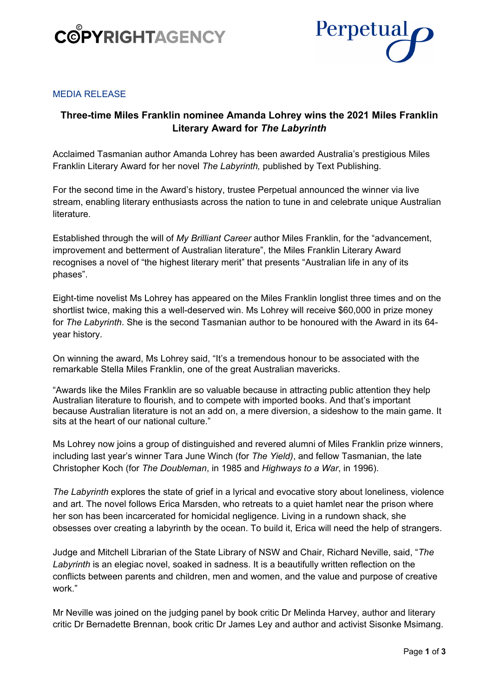



## MEDIA RELEASE

# **Three-time Miles Franklin nominee Amanda Lohrey wins the 2021 Miles Franklin Literary Award for** *The Labyrinth*

Acclaimed Tasmanian author Amanda Lohrey has been awarded Australia's prestigious Miles Franklin Literary Award for her novel *The Labyrinth,* published by Text Publishing.

For the second time in the Award's history, trustee Perpetual announced the winner via live stream, enabling literary enthusiasts across the nation to tune in and celebrate unique Australian literature.

Established through the will of *My Brilliant Career* author Miles Franklin, for the "advancement, improvement and betterment of Australian literature", the Miles Franklin Literary Award recognises a novel of "the highest literary merit" that presents "Australian life in any of its phases".

Eight-time novelist Ms Lohrey has appeared on the Miles Franklin longlist three times and on the shortlist twice, making this a well-deserved win. Ms Lohrey will receive \$60,000 in prize money for *The Labyrinth*. She is the second Tasmanian author to be honoured with the Award in its 64 year history.

On winning the award, Ms Lohrey said, "It's a tremendous honour to be associated with the remarkable Stella Miles Franklin, one of the great Australian mavericks.

"Awards like the Miles Franklin are so valuable because in attracting public attention they help Australian literature to flourish, and to compete with imported books. And that's important because Australian literature is not an add on, a mere diversion, a sideshow to the main game. It sits at the heart of our national culture."

Ms Lohrey now joins a group of distinguished and revered alumni of Miles Franklin prize winners, including last year's winner Tara June Winch (for *The Yield)*, and fellow Tasmanian, the late Christopher Koch (for *The Doubleman*, in 1985 and *Highways to a War*, in 1996).

*The Labyrinth* explores the state of grief in a lyrical and evocative story about loneliness, violence and art. The novel follows Erica Marsden, who retreats to a quiet hamlet near the prison where her son has been incarcerated for homicidal negligence. Living in a rundown shack, she obsesses over creating a labyrinth by the ocean. To build it, Erica will need the help of strangers.

Judge and Mitchell Librarian of the State Library of NSW and Chair, Richard Neville, said, "*The*  Labyrinth is an elegiac novel, soaked in sadness. It is a beautifully written reflection on the conflicts between parents and children, men and women, and the value and purpose of creative work."

Mr Neville was joined on the judging panel by book critic Dr Melinda Harvey, author and literary critic Dr Bernadette Brennan, book critic Dr James Ley and author and activist Sisonke Msimang.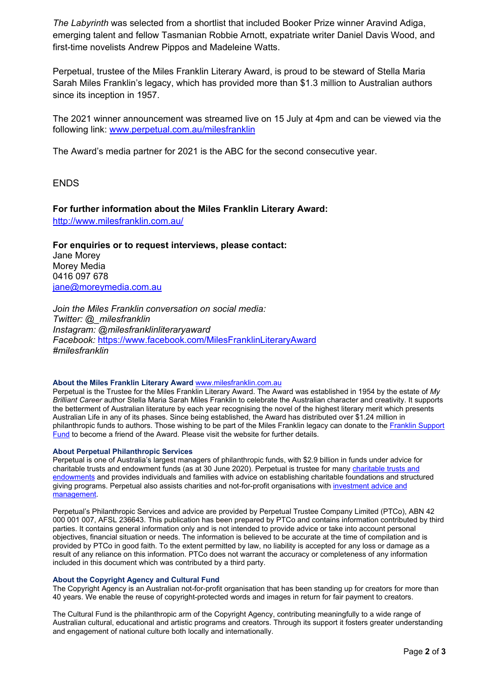*The Labyrinth* was selected from a shortlist that included Booker Prize winner Aravind Adiga, emerging talent and fellow Tasmanian Robbie Arnott, expatriate writer Daniel Davis Wood, and first-time novelists Andrew Pippos and Madeleine Watts.

Perpetual, trustee of the Miles Franklin Literary Award, is proud to be steward of Stella Maria Sarah Miles Franklin's legacy, which has provided more than \$1.3 million to Australian authors since its inception in 1957.

The 2021 winner announcement was streamed live on 15 July at 4pm and can be viewed via the following link: [www.perpetual.com.au/milesfranklin](http://www.perpetual.com.au/milesfranklin)

The Award's media partner for 2021 is the ABC for the second consecutive year.

ENDS

## **For further information about the Miles Franklin Literary Award:**

<http://www.milesfranklin.com.au/>

**For enquiries or to request interviews, please contact:**  Jane Morey Morey Media 0416 097 678 [jane@moreymedia.com.au](mailto:jane@moreymedia.com.au)

*Join the Miles Franklin conversation on social media: Twitter: @\_milesfranklin Instagram: @milesfranklinliteraryaward Facebook:* <https://www.facebook.com/MilesFranklinLiteraryAward> *#milesfranklin*

### **About the Miles Franklin Literary Award** [www.milesfranklin.com.au](http://www.milesfranklin.com.au/)

Perpetual is the Trustee for the Miles Franklin Literary Award. The Award was established in 1954 by the estate of *My Brilliant Career* author Stella Maria Sarah Miles Franklin to celebrate the Australian character and creativity. It supports the betterment of Australian literature by each year recognising the novel of the highest literary merit which presents Australian Life in any of its phases. Since being established, the Award has distributed over \$1.24 million in philanthropic funds to authors. Those wishing to be part of the Miles Franklin legacy can donate to the Franklin Support [Fund](https://www.perpetual.com.au/%7E/media/perpetual/pdf/resources/mfla/miles_franklin_donation_form.ashx) to become a friend of the Award. Please visit the website for further details.

### **About Perpetual Philanthropic Services**

Perpetual is one of Australia's largest managers of philanthropic funds, with \$2.9 billion in funds under advice for charitable trusts and endowment funds (as at 30 June 2020). Perpetual is trustee for many [charitable trusts and](http://www.perpetual.com.au/philanthropy-individuals-and-families.aspx)  [endowments](http://www.perpetual.com.au/philanthropy-individuals-and-families.aspx) and provides individuals and families with advice on establishing charitable foundations and structured giving programs. Perpetual also assists charities and not-for-profit organisations with [investment advice and](https://www.perpetual.com.au/financial-advice/managing-your-wealth)  [management.](https://www.perpetual.com.au/financial-advice/managing-your-wealth) 

Perpetual's Philanthropic Services and advice are provided by Perpetual Trustee Company Limited (PTCo), ABN 42 000 001 007, AFSL 236643. This publication has been prepared by PTCo and contains information contributed by third parties. It contains general information only and is not intended to provide advice or take into account personal objectives, financial situation or needs. The information is believed to be accurate at the time of compilation and is provided by PTCo in good faith. To the extent permitted by law, no liability is accepted for any loss or damage as a result of any reliance on this information. PTCo does not warrant the accuracy or completeness of any information included in this document which was contributed by a third party.

#### **About the Copyright Agency and Cultural Fund**

The Copyright Agency is an Australian not-for-profit organisation that has been standing up for creators for more than 40 years. We enable the reuse of copyright-protected words and images in return for fair payment to creators.

The Cultural Fund is the philanthropic arm of the Copyright Agency, contributing meaningfully to a wide range of Australian cultural, educational and artistic programs and creators. Through its support it fosters greater understanding and engagement of national culture both locally and internationally.